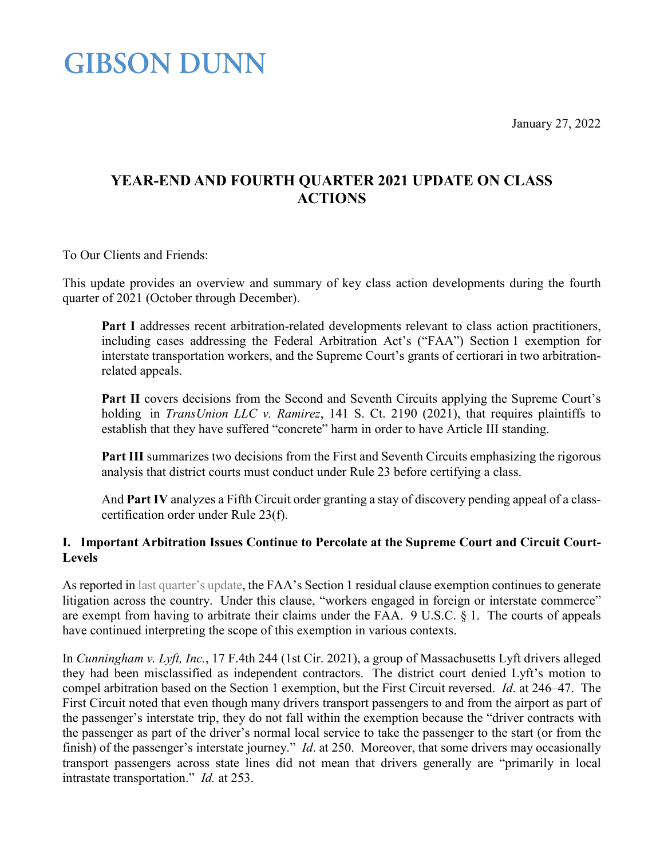January 27, 2022

### **GIBSON DUNN**

### **YEAR-END AND FOURTH QUARTER 2021 UPDATE ON CLASS ACTIONS**

To Our Clients and Friends:

This update provides an overview and summary of key class action developments during the fourth quarter of 2021 (October through December).

Part I addresses recent arbitration-related developments relevant to class action practitioners, including cases addressing the Federal Arbitration Act's ("FAA") Section 1 exemption for interstate transportation workers, and the Supreme Court's grants of certiorari in two arbitrationrelated appeals.

Part II covers decisions from the Second and Seventh Circuits applying the Supreme Court's holding in *TransUnion LLC v. Ramirez*, 141 S. Ct. 2190 (2021), that requires plaintiffs to establish that they have suffered "concrete" harm in order to have Article III standing.

Part III summarizes two decisions from the First and Seventh Circuits emphasizing the rigorous analysis that district courts must conduct under Rule 23 before certifying a class.

And **Part IV** analyzes a Fifth Circuit order granting a stay of discovery pending appeal of a classcertification order under Rule 23(f).

### **I. Important Arbitration Issues Continue to Percolate at the Supreme Court and Circuit Court-Levels**

As reported in [last quarter's update,](https://www.gibsondunn.com/third-quarter-2021-update-on-class-actions/) the FAA's Section 1 residual clause exemption continues to generate litigation across the country. Under this clause, "workers engaged in foreign or interstate commerce" are exempt from having to arbitrate their claims under the FAA. 9 U.S.C. § 1. The courts of appeals have continued interpreting the scope of this exemption in various contexts.

In *Cunningham v. Lyft, Inc.*, 17 F.4th 244 (1st Cir. 2021), a group of Massachusetts Lyft drivers alleged they had been misclassified as independent contractors. The district court denied Lyft's motion to compel arbitration based on the Section 1 exemption, but the First Circuit reversed. *Id*. at 246–47. The First Circuit noted that even though many drivers transport passengers to and from the airport as part of the passenger's interstate trip, they do not fall within the exemption because the "driver contracts with the passenger as part of the driver's normal local service to take the passenger to the start (or from the finish) of the passenger's interstate journey." *Id*. at 250. Moreover, that some drivers may occasionally transport passengers across state lines did not mean that drivers generally are "primarily in local intrastate transportation." *Id.* at 253.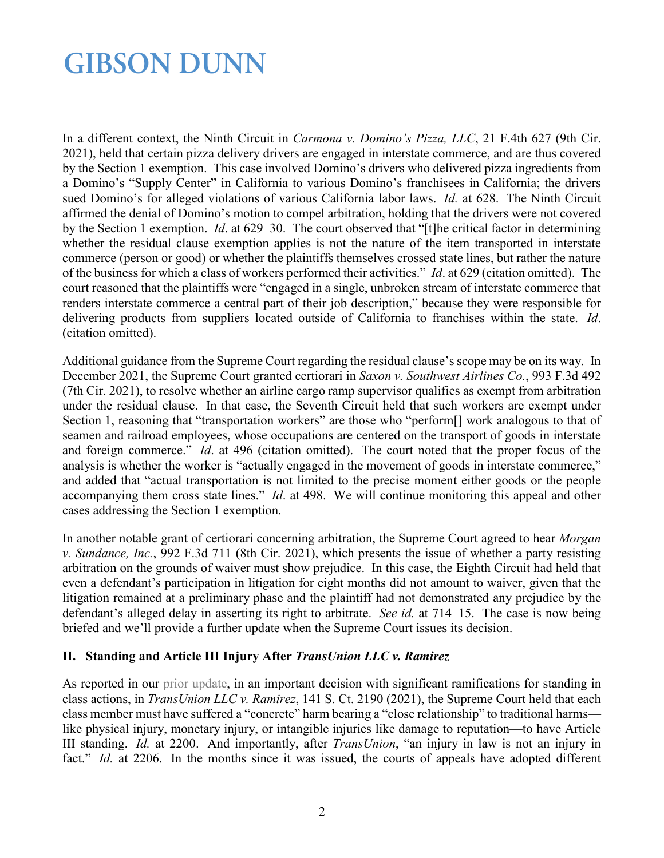In a different context, the Ninth Circuit in *Carmona v. Domino's Pizza, LLC*, 21 F.4th 627 (9th Cir. 2021), held that certain pizza delivery drivers are engaged in interstate commerce, and are thus covered by the Section 1 exemption. This case involved Domino's drivers who delivered pizza ingredients from a Domino's "Supply Center" in California to various Domino's franchisees in California; the drivers sued Domino's for alleged violations of various California labor laws. *Id.* at 628. The Ninth Circuit affirmed the denial of Domino's motion to compel arbitration, holding that the drivers were not covered by the Section 1 exemption. *Id*. at 629–30. The court observed that "[t]he critical factor in determining whether the residual clause exemption applies is not the nature of the item transported in interstate commerce (person or good) or whether the plaintiffs themselves crossed state lines, but rather the nature of the business for which a class of workers performed their activities." *Id*. at 629 (citation omitted). The court reasoned that the plaintiffs were "engaged in a single, unbroken stream of interstate commerce that renders interstate commerce a central part of their job description," because they were responsible for delivering products from suppliers located outside of California to franchises within the state. *Id*. (citation omitted).

Additional guidance from the Supreme Court regarding the residual clause's scope may be on its way. In December 2021, the Supreme Court granted certiorari in *Saxon v. Southwest Airlines Co.*, 993 F.3d 492 (7th Cir. 2021), to resolve whether an airline cargo ramp supervisor qualifies as exempt from arbitration under the residual clause. In that case, the Seventh Circuit held that such workers are exempt under Section 1, reasoning that "transportation workers" are those who "perform<sup>[]</sup> work analogous to that of seamen and railroad employees, whose occupations are centered on the transport of goods in interstate and foreign commerce." *Id*. at 496 (citation omitted). The court noted that the proper focus of the analysis is whether the worker is "actually engaged in the movement of goods in interstate commerce," and added that "actual transportation is not limited to the precise moment either goods or the people accompanying them cross state lines." *Id*. at 498. We will continue monitoring this appeal and other cases addressing the Section 1 exemption.

In another notable grant of certiorari concerning arbitration, the Supreme Court agreed to hear *Morgan v. Sundance, Inc.*, 992 F.3d 711 (8th Cir. 2021), which presents the issue of whether a party resisting arbitration on the grounds of waiver must show prejudice. In this case, the Eighth Circuit had held that even a defendant's participation in litigation for eight months did not amount to waiver, given that the litigation remained at a preliminary phase and the plaintiff had not demonstrated any prejudice by the defendant's alleged delay in asserting its right to arbitrate. *See id.* at 714–15. The case is now being briefed and we'll provide a further update when the Supreme Court issues its decision.

### **II. Standing and Article III Injury After** *TransUnion LLC v. Ramirez*

As reported in our [prior update,](https://www.gibsondunn.com/second-quarter-2021-update-on-class-actions/) in an important decision with significant ramifications for standing in class actions, in *TransUnion LLC v. Ramirez*, 141 S. Ct. 2190 (2021), the Supreme Court held that each class member must have suffered a "concrete" harm bearing a "close relationship" to traditional harms like physical injury, monetary injury, or intangible injuries like damage to reputation—to have Article III standing. *Id.* at 2200. And importantly, after *TransUnion*, "an injury in law is not an injury in fact." *Id.* at 2206. In the months since it was issued, the courts of appeals have adopted different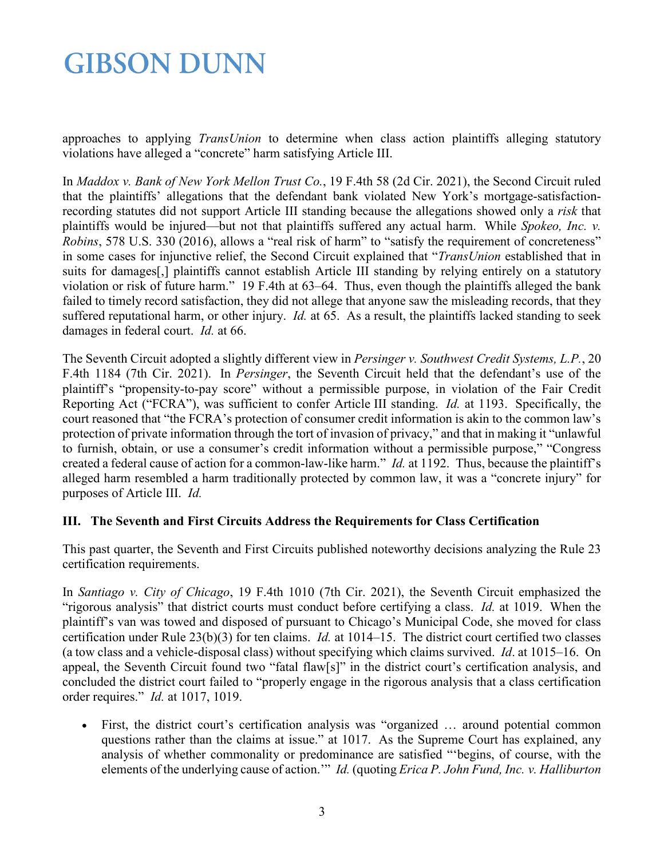approaches to applying *TransUnion* to determine when class action plaintiffs alleging statutory violations have alleged a "concrete" harm satisfying Article III.

In *Maddox v. Bank of New York Mellon Trust Co.*, 19 F.4th 58 (2d Cir. 2021), the Second Circuit ruled that the plaintiffs' allegations that the defendant bank violated New York's mortgage-satisfactionrecording statutes did not support Article III standing because the allegations showed only a *risk* that plaintiffs would be injured—but not that plaintiffs suffered any actual harm. While *Spokeo, Inc. v. Robins*, 578 U.S. 330 (2016), allows a "real risk of harm" to "satisfy the requirement of concreteness" in some cases for injunctive relief, the Second Circuit explained that "*TransUnion* established that in suits for damages[,] plaintiffs cannot establish Article III standing by relying entirely on a statutory violation or risk of future harm." 19 F.4th at 63–64. Thus, even though the plaintiffs alleged the bank failed to timely record satisfaction, they did not allege that anyone saw the misleading records, that they suffered reputational harm, or other injury. *Id.* at 65. As a result, the plaintiffs lacked standing to seek damages in federal court. *Id.* at 66.

The Seventh Circuit adopted a slightly different view in *Persinger v. Southwest Credit Systems, L.P.*, 20 F.4th 1184 (7th Cir. 2021). In *Persinger*, the Seventh Circuit held that the defendant's use of the plaintiff's "propensity-to-pay score" without a permissible purpose, in violation of the Fair Credit Reporting Act ("FCRA"), was sufficient to confer Article III standing. *Id.* at 1193. Specifically, the court reasoned that "the FCRA's protection of consumer credit information is akin to the common law's protection of private information through the tort of invasion of privacy," and that in making it "unlawful to furnish, obtain, or use a consumer's credit information without a permissible purpose," "Congress created a federal cause of action for a common-law-like harm." *Id.* at 1192. Thus, because the plaintiff's alleged harm resembled a harm traditionally protected by common law, it was a "concrete injury" for purposes of Article III. *Id.*

### **III. The Seventh and First Circuits Address the Requirements for Class Certification**

This past quarter, the Seventh and First Circuits published noteworthy decisions analyzing the Rule 23 certification requirements.

In *Santiago v. City of Chicago*, 19 F.4th 1010 (7th Cir. 2021), the Seventh Circuit emphasized the "rigorous analysis" that district courts must conduct before certifying a class. *Id.* at 1019. When the plaintiff's van was towed and disposed of pursuant to Chicago's Municipal Code, she moved for class certification under Rule 23(b)(3) for ten claims. *Id.* at 1014–15. The district court certified two classes (a tow class and a vehicle-disposal class) without specifying which claims survived. *Id*. at 1015–16. On appeal, the Seventh Circuit found two "fatal flaw[s]" in the district court's certification analysis, and concluded the district court failed to "properly engage in the rigorous analysis that a class certification order requires." *Id.* at 1017, 1019.

• First, the district court's certification analysis was "organized ... around potential common questions rather than the claims at issue." at 1017. As the Supreme Court has explained, any analysis of whether commonality or predominance are satisfied "'begins, of course, with the elements of the underlying cause of action.'" *Id.* (quoting *Erica P. John Fund, Inc. v. Halliburton*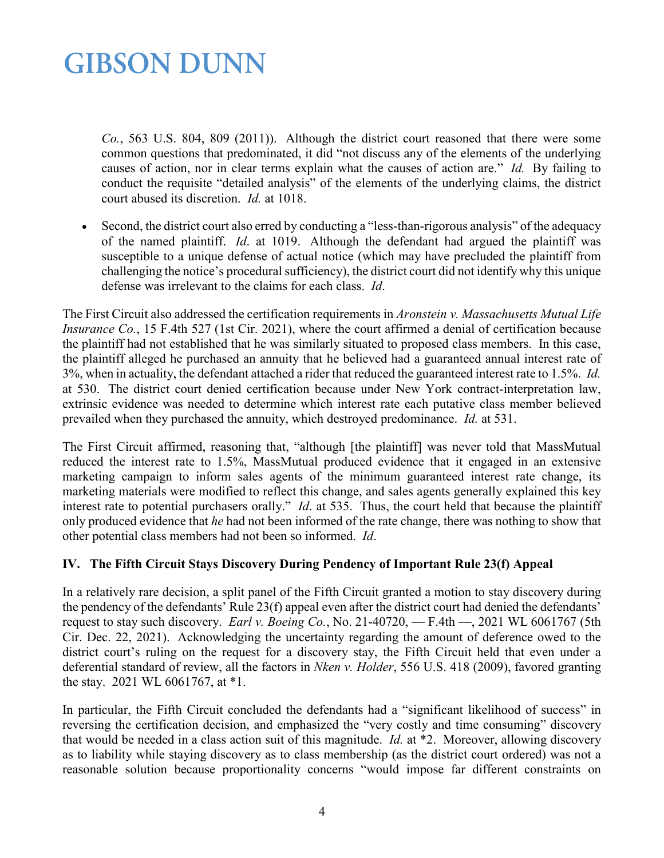*Co.*, 563 U.S. 804, 809 (2011)). Although the district court reasoned that there were some common questions that predominated, it did "not discuss any of the elements of the underlying causes of action, nor in clear terms explain what the causes of action are." *Id.* By failing to conduct the requisite "detailed analysis" of the elements of the underlying claims, the district court abused its discretion. *Id.* at 1018.

• Second, the district court also erred by conducting a "less-than-rigorous analysis" of the adequacy of the named plaintiff. *Id*. at 1019. Although the defendant had argued the plaintiff was susceptible to a unique defense of actual notice (which may have precluded the plaintiff from challenging the notice's procedural sufficiency), the district court did not identify why this unique defense was irrelevant to the claims for each class. *Id*.

The First Circuit also addressed the certification requirements in *Aronstein v. Massachusetts Mutual Life Insurance Co.*, 15 F.4th 527 (1st Cir. 2021), where the court affirmed a denial of certification because the plaintiff had not established that he was similarly situated to proposed class members. In this case, the plaintiff alleged he purchased an annuity that he believed had a guaranteed annual interest rate of 3%, when in actuality, the defendant attached a rider that reduced the guaranteed interest rate to 1.5%. *Id.*  at 530. The district court denied certification because under New York contract-interpretation law, extrinsic evidence was needed to determine which interest rate each putative class member believed prevailed when they purchased the annuity, which destroyed predominance. *Id.* at 531.

The First Circuit affirmed, reasoning that, "although [the plaintiff] was never told that MassMutual reduced the interest rate to 1.5%, MassMutual produced evidence that it engaged in an extensive marketing campaign to inform sales agents of the minimum guaranteed interest rate change, its marketing materials were modified to reflect this change, and sales agents generally explained this key interest rate to potential purchasers orally." *Id*. at 535. Thus, the court held that because the plaintiff only produced evidence that *he* had not been informed of the rate change, there was nothing to show that other potential class members had not been so informed. *Id*.

### **IV. The Fifth Circuit Stays Discovery During Pendency of Important Rule 23(f) Appeal**

In a relatively rare decision, a split panel of the Fifth Circuit granted a motion to stay discovery during the pendency of the defendants' Rule 23(f) appeal even after the district court had denied the defendants' request to stay such discovery. *Earl v. Boeing Co.*, No. 21-40720, — F.4th —, 2021 WL 6061767 (5th Cir. Dec. 22, 2021). Acknowledging the uncertainty regarding the amount of deference owed to the district court's ruling on the request for a discovery stay, the Fifth Circuit held that even under a deferential standard of review, all the factors in *Nken v. Holder*, 556 U.S. 418 (2009), favored granting the stay. 2021 WL 6061767, at \*1.

In particular, the Fifth Circuit concluded the defendants had a "significant likelihood of success" in reversing the certification decision, and emphasized the "very costly and time consuming" discovery that would be needed in a class action suit of this magnitude. *Id.* at \*2. Moreover, allowing discovery as to liability while staying discovery as to class membership (as the district court ordered) was not a reasonable solution because proportionality concerns "would impose far different constraints on